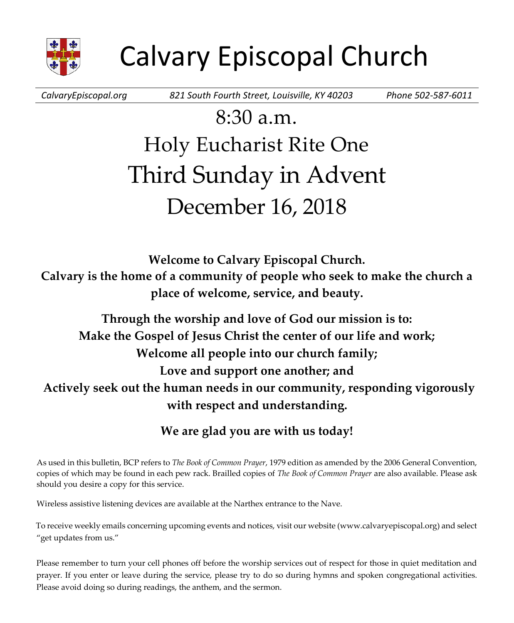

*CalvaryEpiscopal.org 821 South Fourth Street, Louisville, KY 40203 Phone 502-587-6011*

# 8:30 a.m. Holy Eucharist Rite One Third Sunday in Advent December 16, 2018

**Welcome to Calvary Episcopal Church. Calvary is the home of a community of people who seek to make the church a place of welcome, service, and beauty.**

**Through the worship and love of God our mission is to: Make the Gospel of Jesus Christ the center of our life and work; Welcome all people into our church family; Love and support one another; and Actively seek out the human needs in our community, responding vigorously with respect and understanding.**

# **We are glad you are with us today!**

As used in this bulletin, BCP refers to *The Book of Common Prayer*, 1979 edition as amended by the 2006 General Convention, copies of which may be found in each pew rack. Brailled copies of *The Book of Common Prayer* are also available. Please ask should you desire a copy for this service.

Wireless assistive listening devices are available at the Narthex entrance to the Nave.

To receive weekly emails concerning upcoming events and notices, visit our website (www.calvaryepiscopal.org) and select "get updates from us."

Please remember to turn your cell phones off before the worship services out of respect for those in quiet meditation and prayer. If you enter or leave during the service, please try to do so during hymns and spoken congregational activities. Please avoid doing so during readings, the anthem, and the sermon.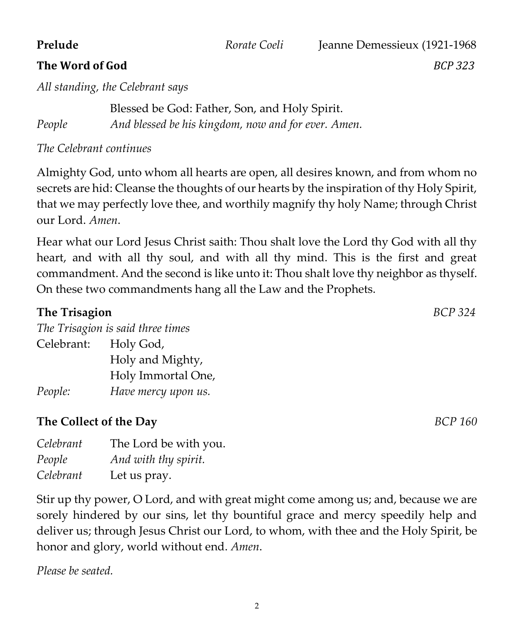# **Prelude** *Rorate Coeli* Jeanne Demessieux (1921-1968

*All standing, the Celebrant says*

Blessed be God: Father, Son, and Holy Spirit. *People And blessed be his kingdom, now and for ever. Amen.*

*The Celebrant continues*

Almighty God, unto whom all hearts are open, all desires known, and from whom no secrets are hid: Cleanse the thoughts of our hearts by the inspiration of thy Holy Spirit, that we may perfectly love thee, and worthily magnify thy holy Name; through Christ our Lord. *Amen*.

Hear what our Lord Jesus Christ saith: Thou shalt love the Lord thy God with all thy heart, and with all thy soul, and with all thy mind. This is the first and great commandment. And the second is like unto it: Thou shalt love thy neighbor as thyself. On these two commandments hang all the Law and the Prophets.

# **The Trisagion** *BCP 324*

Celebrant: Holy God, Holy and Mighty, Holy Immortal One, *People: Have mercy upon us.* **The Collect of the Day** *BCP 160* 

*The Trisagion is said three times*

| Celebrant | The Lord be with you. |
|-----------|-----------------------|
| People    | And with thy spirit.  |
| Celebrant | Let us pray.          |

Stir up thy power, O Lord, and with great might come among us; and, because we are sorely hindered by our sins, let thy bountiful grace and mercy speedily help and deliver us; through Jesus Christ our Lord, to whom, with thee and the Holy Spirit, be honor and glory, world without end. *Amen*.

*Please be seated.*

**The Word of God** *BCP 323*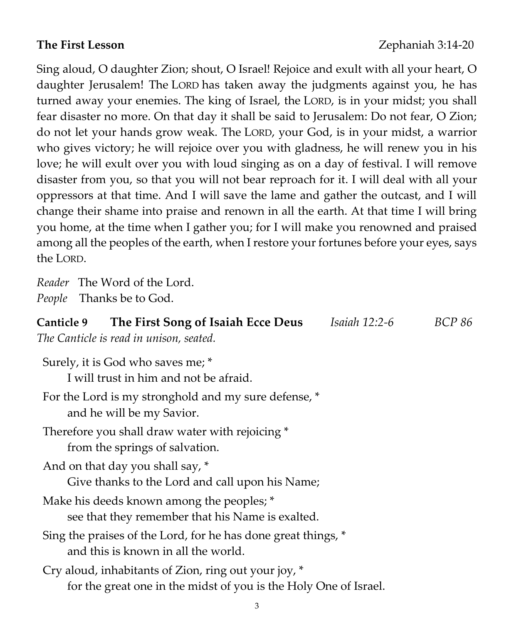Sing aloud, O daughter Zion; shout, O Israel! Rejoice and exult with all your heart, O daughter Jerusalem! The LORD has taken away the judgments against you, he has turned away your enemies. The king of Israel, the LORD, is in your midst; you shall fear disaster no more. On that day it shall be said to Jerusalem: Do not fear, O Zion; do not let your hands grow weak. The LORD, your God, is in your midst, a warrior who gives victory; he will rejoice over you with gladness, he will renew you in his love; he will exult over you with loud singing as on a day of festival. I will remove disaster from you, so that you will not bear reproach for it. I will deal with all your oppressors at that time. And I will save the lame and gather the outcast, and I will change their shame into praise and renown in all the earth. At that time I will bring you home, at the time when I gather you; for I will make you renowned and praised among all the peoples of the earth, when I restore your fortunes before your eyes, says the LORD.

*Reader* The Word of the Lord. *People* Thanks be to God.

# **Canticle 9 The First Song of Isaiah Ecce Deus** *Isaiah 12:2-6 BCP 86 The Canticle is read in unison, seated.*

| Surely, it is God who saves me; *                                                                                        |
|--------------------------------------------------------------------------------------------------------------------------|
| I will trust in him and not be afraid.                                                                                   |
| For the Lord is my stronghold and my sure defense, *<br>and he will be my Savior.                                        |
| Therefore you shall draw water with rejoicing *<br>from the springs of salvation.                                        |
| And on that day you shall say, *<br>Give thanks to the Lord and call upon his Name;                                      |
| Make his deeds known among the peoples; *<br>see that they remember that his Name is exalted.                            |
| Sing the praises of the Lord, for he has done great things, *<br>and this is known in all the world.                     |
| Cry aloud, inhabitants of Zion, ring out your joy, *<br>for the great one in the midst of you is the Holy One of Israel. |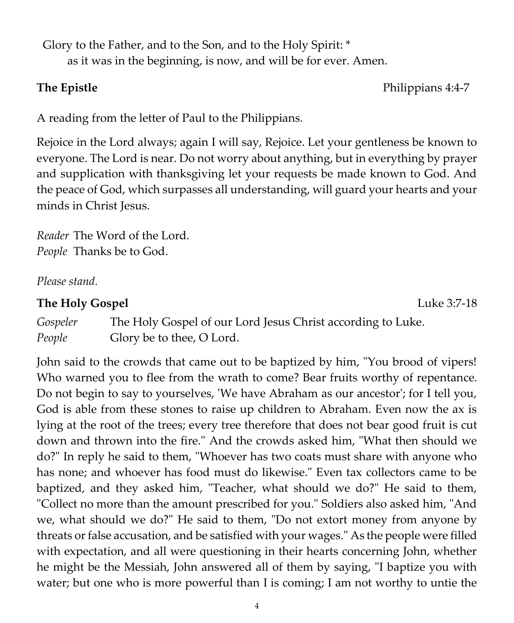Glory to the Father, and to the Son, and to the Holy Spirit: \* as it was in the beginning, is now, and will be for ever. Amen.

**The Epistle** Philippians 4:4-7

A reading from the letter of Paul to the Philippians.

Rejoice in the Lord always; again I will say, Rejoice. Let your gentleness be known to everyone. The Lord is near. Do not worry about anything, but in everything by prayer and supplication with thanksgiving let your requests be made known to God. And the peace of God, which surpasses all understanding, will guard your hearts and your minds in Christ Jesus.

*Reader* The Word of the Lord. *People* Thanks be to God.

*Please stand.*

# **The Holy Gospel** Luke 3:7-18

*Gospeler* The Holy Gospel of our Lord Jesus Christ according to Luke. *People* Glory be to thee, O Lord.

John said to the crowds that came out to be baptized by him, "You brood of vipers! Who warned you to flee from the wrath to come? Bear fruits worthy of repentance. Do not begin to say to yourselves, 'We have Abraham as our ancestor'; for I tell you, God is able from these stones to raise up children to Abraham. Even now the ax is lying at the root of the trees; every tree therefore that does not bear good fruit is cut down and thrown into the fire." And the crowds asked him, "What then should we do?" In reply he said to them, "Whoever has two coats must share with anyone who has none; and whoever has food must do likewise." Even tax collectors came to be baptized, and they asked him, "Teacher, what should we do?" He said to them, "Collect no more than the amount prescribed for you." Soldiers also asked him, "And we, what should we do?" He said to them, "Do not extort money from anyone by threats or false accusation, and be satisfied with your wages." As the people were filled with expectation, and all were questioning in their hearts concerning John, whether he might be the Messiah, John answered all of them by saying, "I baptize you with water; but one who is more powerful than I is coming; I am not worthy to untie the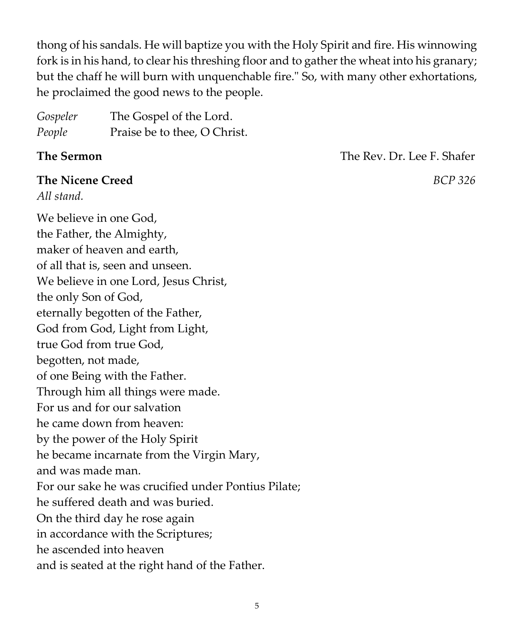thong of his sandals. He will baptize you with the Holy Spirit and fire. His winnowing fork is in his hand, to clear his threshing floor and to gather the wheat into his granary; but the chaff he will burn with unquenchable fire." So, with many other exhortations, he proclaimed the good news to the people.

| Gospeler | The Gospel of the Lord.      |
|----------|------------------------------|
| People   | Praise be to thee, O Christ. |

# **The Nicene Creed** *BCP 326*

*All stand.*

We believe in one God, the Father, the Almighty, maker of heaven and earth, of all that is, seen and unseen. We believe in one Lord, Jesus Christ, the only Son of God, eternally begotten of the Father, God from God, Light from Light, true God from true God, begotten, not made, of one Being with the Father. Through him all things were made. For us and for our salvation he came down from heaven: by the power of the Holy Spirit he became incarnate from the Virgin Mary, and was made man. For our sake he was crucified under Pontius Pilate; he suffered death and was buried. On the third day he rose again in accordance with the Scriptures; he ascended into heaven and is seated at the right hand of the Father.

**The Sermon** The Rev. Dr. Lee F. Shafer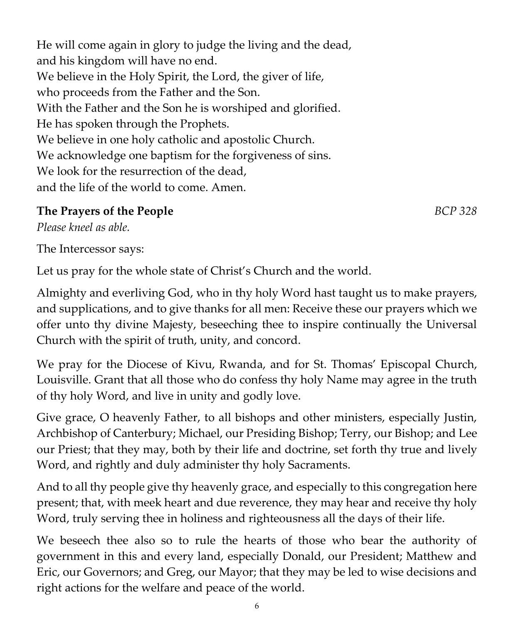He will come again in glory to judge the living and the dead, and his kingdom will have no end. We believe in the Holy Spirit, the Lord, the giver of life, who proceeds from the Father and the Son. With the Father and the Son he is worshiped and glorified. He has spoken through the Prophets. We believe in one holy catholic and apostolic Church. We acknowledge one baptism for the forgiveness of sins. We look for the resurrection of the dead, and the life of the world to come. Amen.

# **The Prayers of the People** *BCP 328*

*Please kneel as able.*

The Intercessor says:

Let us pray for the whole state of Christ's Church and the world.

Almighty and everliving God, who in thy holy Word hast taught us to make prayers, and supplications, and to give thanks for all men: Receive these our prayers which we offer unto thy divine Majesty, beseeching thee to inspire continually the Universal Church with the spirit of truth, unity, and concord.

We pray for the Diocese of Kivu, Rwanda, and for St. Thomas' Episcopal Church, Louisville. Grant that all those who do confess thy holy Name may agree in the truth of thy holy Word, and live in unity and godly love.

Give grace, O heavenly Father, to all bishops and other ministers, especially Justin, Archbishop of Canterbury; Michael, our Presiding Bishop; Terry, our Bishop; and Lee our Priest; that they may, both by their life and doctrine, set forth thy true and lively Word, and rightly and duly administer thy holy Sacraments.

And to all thy people give thy heavenly grace, and especially to this congregation here present; that, with meek heart and due reverence, they may hear and receive thy holy Word, truly serving thee in holiness and righteousness all the days of their life.

We beseech thee also so to rule the hearts of those who bear the authority of government in this and every land, especially Donald, our President; Matthew and Eric, our Governors; and Greg, our Mayor; that they may be led to wise decisions and right actions for the welfare and peace of the world.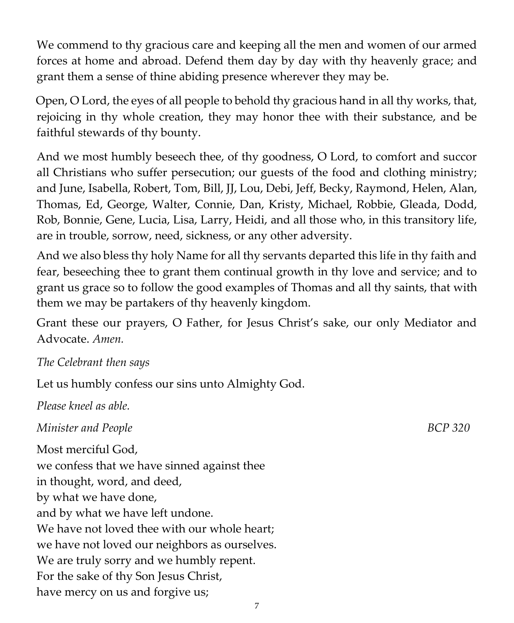We commend to thy gracious care and keeping all the men and women of our armed forces at home and abroad. Defend them day by day with thy heavenly grace; and grant them a sense of thine abiding presence wherever they may be.

Open, O Lord, the eyes of all people to behold thy gracious hand in all thy works, that, rejoicing in thy whole creation, they may honor thee with their substance, and be faithful stewards of thy bounty.

And we most humbly beseech thee, of thy goodness, O Lord, to comfort and succor all Christians who suffer persecution; our guests of the food and clothing ministry; and June, Isabella, Robert, Tom, Bill, JJ, Lou, Debi, Jeff, Becky, Raymond, Helen, Alan, Thomas, Ed, George, Walter, Connie, Dan, Kristy, Michael, Robbie, Gleada, Dodd, Rob, Bonnie, Gene, Lucia, Lisa, Larry, Heidi, and all those who, in this transitory life, are in trouble, sorrow, need, sickness, or any other adversity.

And we also bless thy holy Name for all thy servants departed this life in thy faith and fear, beseeching thee to grant them continual growth in thy love and service; and to grant us grace so to follow the good examples of Thomas and all thy saints, that with them we may be partakers of thy heavenly kingdom.

Grant these our prayers, O Father, for Jesus Christ's sake, our only Mediator and Advocate. *Amen.*

### *The Celebrant then says*

Let us humbly confess our sins unto Almighty God.

*Please kneel as able. Minister and People* BCP 320 Most merciful God, we confess that we have sinned against thee in thought, word, and deed, by what we have done, and by what we have left undone. We have not loved thee with our whole heart; we have not loved our neighbors as ourselves. We are truly sorry and we humbly repent. For the sake of thy Son Jesus Christ, have mercy on us and forgive us;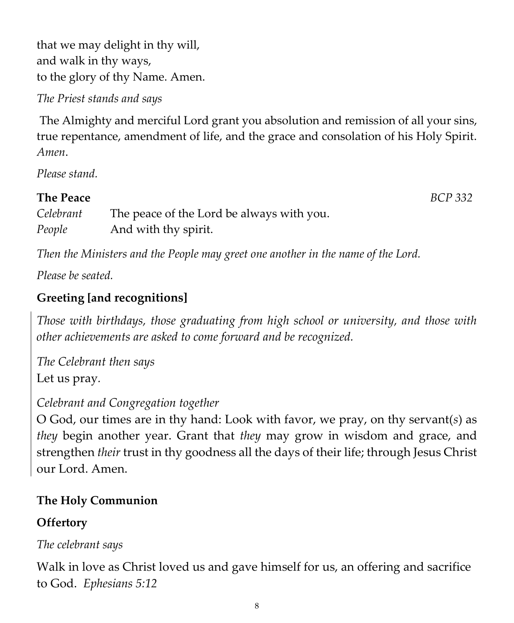that we may delight in thy will, and walk in thy ways, to the glory of thy Name. Amen.

*The Priest stands and says* 

The Almighty and merciful Lord grant you absolution and remission of all your sins, true repentance, amendment of life, and the grace and consolation of his Holy Spirit. *Amen*.

*Please stand.*

| <b>The Peace</b> |                                           | BCP 332 |
|------------------|-------------------------------------------|---------|
| Celebrant        | The peace of the Lord be always with you. |         |
| People           | And with thy spirit.                      |         |

*Then the Ministers and the People may greet one another in the name of the Lord.*

*Please be seated.*

# **Greeting [and recognitions]**

*Those with birthdays, those graduating from high school or university, and those with other achievements are asked to come forward and be recognized.*

*The Celebrant then says* Let us pray*.*

# *Celebrant and Congregation together*

O God, our times are in thy hand: Look with favor, we pray, on thy servant(*s*) as *they* begin another year. Grant that *they* may grow in wisdom and grace, and strengthen *their* trust in thy goodness all the days of their life; through Jesus Christ our Lord. Amen.

# **The Holy Communion**

# **Offertory**

*The celebrant says*

Walk in love as Christ loved us and gave himself for us, an offering and sacrifice to God. *Ephesians 5:12*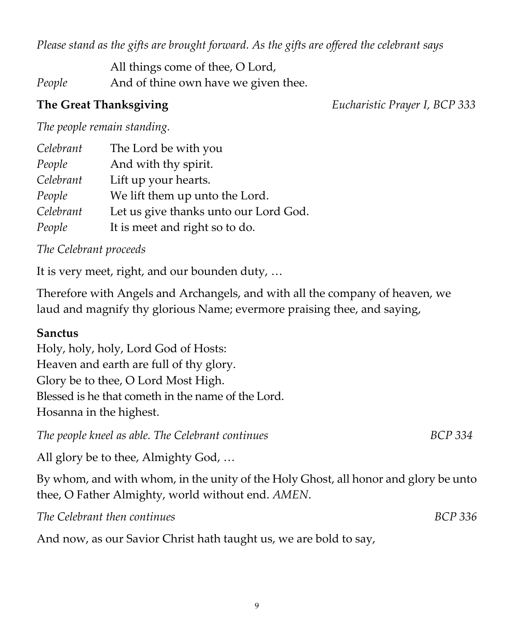*Please stand as the gifts are brought forward. As the gifts are offered the celebrant says*

All things come of thee, O Lord,

*People* And of thine own have we given thee.

**The Great Thanksgiving** *Eucharistic Prayer I, BCP 333*

*The people remain standing.*

| Celebrant | The Lord be with you                  |
|-----------|---------------------------------------|
| People    | And with thy spirit.                  |
| Celebrant | Lift up your hearts.                  |
| People    | We lift them up unto the Lord.        |
| Celebrant | Let us give thanks unto our Lord God. |
| People    | It is meet and right so to do.        |

# *The Celebrant proceeds*

It is very meet, right, and our bounden duty, …

Therefore with Angels and Archangels, and with all the company of heaven, we laud and magnify thy glorious Name; evermore praising thee, and saying,

### **Sanctus**

Holy, holy, holy, Lord God of Hosts: Heaven and earth are full of thy glory. Glory be to thee, O Lord Most High. Blessed is he that cometh in the name of the Lord. Hosanna in the highest.

*The people kneel as able. The Celebrant continues BCP 334*

All glory be to thee, Almighty God, …

By whom, and with whom, in the unity of the Holy Ghost, all honor and glory be unto thee, O Father Almighty, world without end. *AMEN*.

| The Celebrant then continues | BCP 336 |
|------------------------------|---------|
|------------------------------|---------|

And now, as our Savior Christ hath taught us, we are bold to say,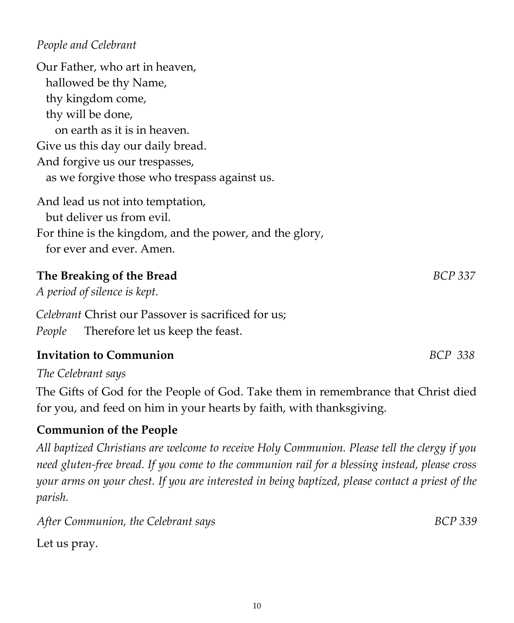#### *People and Celebrant*

| Our Father, who art in heaven,                          |         |
|---------------------------------------------------------|---------|
| hallowed be thy Name,                                   |         |
| thy kingdom come,                                       |         |
| thy will be done,                                       |         |
| on earth as it is in heaven.                            |         |
| Give us this day our daily bread.                       |         |
| And forgive us our trespasses,                          |         |
| as we forgive those who trespass against us.            |         |
| And lead us not into temptation,                        |         |
| but deliver us from evil.                               |         |
| For thine is the kingdom, and the power, and the glory, |         |
| for ever and ever. Amen.                                |         |
| The Breaking of the Bread                               | BCP 337 |
| A period of silence is kept.                            |         |
| Celebrant Christ our Passover is sacrificed for us;     |         |
| People<br>Therefore let us keep the feast.              |         |
| <b>Invitation to Communion</b>                          | BCP 338 |

### *The Celebrant says*

The Gifts of God for the People of God. Take them in remembrance that Christ died for you, and feed on him in your hearts by faith, with thanksgiving.

### **Communion of the People**

*All baptized Christians are welcome to receive Holy Communion. Please tell the clergy if you need gluten-free bread. If you come to the communion rail for a blessing instead, please cross your arms on your chest. If you are interested in being baptized, please contact a priest of the parish.* 

| After Communion, the Celebrant says | BCP 339 |
|-------------------------------------|---------|
| Let us pray.                        |         |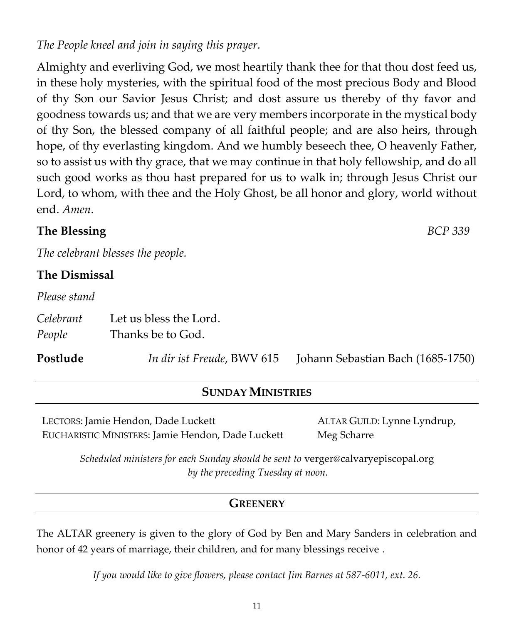# *The People kneel and join in saying this prayer.*

Almighty and everliving God, we most heartily thank thee for that thou dost feed us, in these holy mysteries, with the spiritual food of the most precious Body and Blood of thy Son our Savior Jesus Christ; and dost assure us thereby of thy favor and goodness towards us; and that we are very members incorporate in the mystical body of thy Son, the blessed company of all faithful people; and are also heirs, through hope, of thy everlasting kingdom. And we humbly beseech thee, O heavenly Father, so to assist us with thy grace, that we may continue in that holy fellowship, and do all such good works as thou hast prepared for us to walk in; through Jesus Christ our Lord, to whom, with thee and the Holy Ghost, be all honor and glory, world without end. *Amen*.

# **The Blessing** *BCP 339*

*The celebrant blesses the people.*

# **The Dismissal**

*Please stand*

*Celebrant* Let us bless the Lord. *People* Thanks be to God.

**Postlude** *In dir ist Freude*, BWV 615 Johann Sebastian Bach (1685-1750)

# **SUNDAY MINISTRIES**

LECTORS: Jamie Hendon, Dade Luckett EUCHARISTIC MINISTERS: Jamie Hendon, Dade Luckett

> *Scheduled ministers for each Sunday should be sent to* [verger@calvaryepiscopal.org](mailto:verger@calvaryepiscopal.org) *by the preceding Tuesday at noon.*

# **GREENERY**

The ALTAR greenery is given to the glory of God by Ben and Mary Sanders in celebration and honor of 42 years of marriage, their children, and for many blessings receive .

*If you would like to give flowers, please contact Jim Barnes at 587-6011, ext. 26.*

ALTAR GUILD: Lynne Lyndrup, Meg Scharre